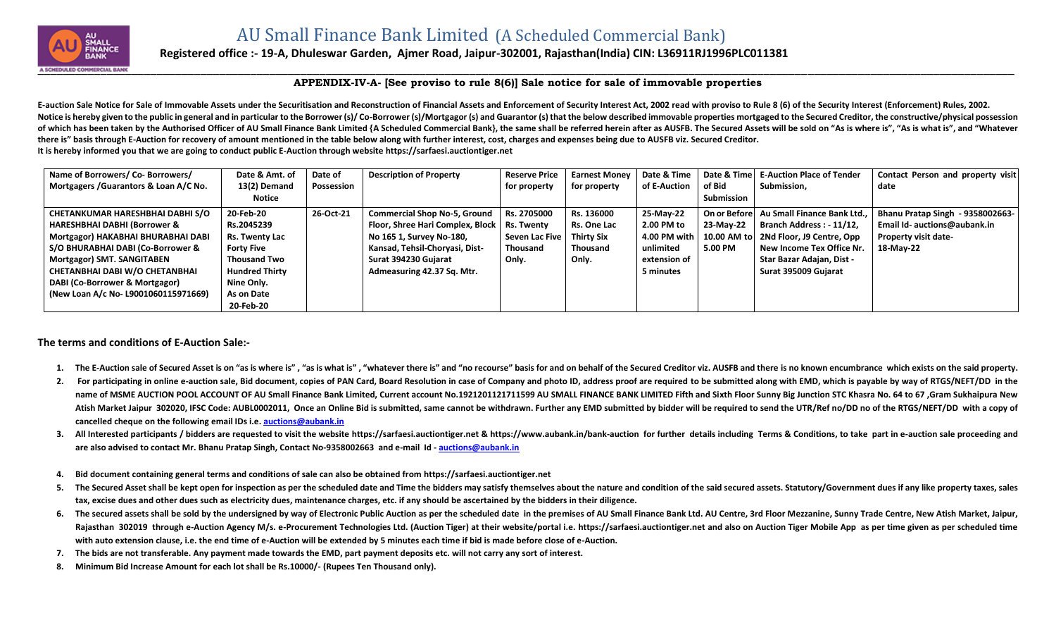

## **Registered office :- 19-A, Dhuleswar Garden, Ajmer Road, Jaipur-302001, Rajasthan(India) CIN: L36911RJ1996PLC011381**

## **APPENDIX-IV-A- [See proviso to rule 8(6)] Sale notice for sale of immovable properties**

E-auction Sale Notice for Sale of Immovable Assets under the Securitisation and Reconstruction of Financial Assets and Enforcement of Security Interest Act, 2002 read with proviso to Rule 8 (6) of the Security Interest (En Notice is hereby given to the public in general and in particular to the Borrower (s)/Co-Borrower (s)/Mortgagor (s) and Guarantor (s) that the below described immovable properties mortgaged to the Secured Creditor, the con of which has been taken by the Authorised Officer of AU Small Finance Bank Limited {A Scheduled Commercial Bank}, the same shall be referred herein after as AUSFB. The Secured Assets will be sold on "As is where is". "As i **there is" basis through E-Auction for recovery of amount mentioned in the table below along with further interest, cost, charges and expenses being due to AUSFB viz. Secured Creditor. It is hereby informed you that we are going to conduct public E-Auction through website [https://sarfaesi.auctiontiger.net](https://sarfaesi.auctiontiger.net/)** 

| Name of Borrowers/ Co- Borrowers/       | Date & Amt. of        | Date of    | <b>Description of Property</b>                | <b>Reserve Price</b> | <b>Earnest Money</b> | Date & Time  | Date & Timel  | <b>E-Auction Place of Tender</b> | Contact Person and property visit |
|-----------------------------------------|-----------------------|------------|-----------------------------------------------|----------------------|----------------------|--------------|---------------|----------------------------------|-----------------------------------|
| Mortgagers / Guarantors & Loan A/C No.  | 13(2) Demand          | Possession |                                               | for property         | for property         | of E-Auction | of Bid        | Submission,                      | date                              |
|                                         | Notice                |            |                                               |                      |                      |              | Submission    |                                  |                                   |
| CHETANKUMAR HARESHBHAI DABHI S/O        | 20-Feb-20             | 26-Oct-21  | <b>Commercial Shop No-5, Ground</b>           | Rs. 2705000          | Rs. 136000           | 25-May-22    | On or Beforel | Au Small Finance Bank Ltd        | Bhanu Pratap Singh - 9358002663-  |
| <b>HARESHBHAI DABHI (Borrower &amp;</b> | Rs.2045239            |            | Floor, Shree Hari Complex, Block   Rs. Twenty |                      | Rs. One Lac          | 2.00 PM to   | 23-May-22     | Branch Address: - 11/12,         | Email Id- auctions@aubank.in      |
| Mortgagor) HAKABHAI BHURABHAI DABI      | Rs. Twenty Lac        |            | No 165 1, Survey No-180,                      | Seven Lac Five       | Thirty Six           | 4.00 PM with | 10.00 AM tol  | 2Nd Floor, J9 Centre, Opp        | <b>Property visit date-</b>       |
| S/O BHURABHAI DABI (Co-Borrower &       | <b>Forty Five</b>     |            | Kansad, Tehsil-Choryasi, Dist-                | <b>Thousand</b>      | Thousand             | unlimited    | 5.00 PM       | New Income Tex Office Nr.        | 18-May-22                         |
| Mortgagor) SMT. SANGITABEN              | <b>Thousand Two</b>   |            | Surat 394230 Gujarat                          | Only.                | Only.                | extension of |               | Star Bazar Adajan, Dist -        |                                   |
| CHETANBHAI DABI W/O CHETANBHAI          | <b>Hundred Thirty</b> |            | Admeasuring 42.37 Sq. Mtr.                    |                      |                      | 5 minutes    |               | Surat 395009 Gujarat             |                                   |
| DABI (Co-Borrower & Mortgagor)          | Nine Only.            |            |                                               |                      |                      |              |               |                                  |                                   |
| (New Loan A/c No- L9001060115971669)    | As on Date            |            |                                               |                      |                      |              |               |                                  |                                   |
|                                         | 20-Feb-20             |            |                                               |                      |                      |              |               |                                  |                                   |

## **The terms and conditions of E-Auction Sale:-**

- 1. The E-Auction sale of Secured Asset is on "as is where is", "as is what is", "whatever there is" and "no recourse" basis for and on behalf of the Secured Creditor viz. AUSFB and there is no known encumbrance which exist
- 2. For participating in online e-auction sale, Bid document, copies of PAN Card, Board Resolution in case of Company and photo ID, address proof are required to be submitted along with EMD, which is payable by way of RTGS/ name of MSME AUCTION POOL ACCOUNT OF AU Small Finance Bank Limited, Current account No.1921201121711599 AU SMALL FINANCE BANK LIMITED Fifth and Sixth Floor Sunny Big Junction STC Khasra No. 64 to 67, Gram Sukhaipura New Atish Market Jaipur 302020, IFSC Code: AUBL0002011, Once an Online Bid is submitted, same cannot be withdrawn. Further any EMD submitted by bidder will be required to send the UTR/Ref no/DD no of the RTGS/NEFT/DD with a co **cancelled cheque on the following email IDs i.e. [auctions@aubank.in](mailto:auctions@aubank.in)**
- 3. All Interested participants / bidders are requested to visit the website [https://sarfaesi.auctiontiger.net](https://sarfaesi.auctiontiger.net/) & https://www.aubank.in/bank-auction for further details including Terms & Conditions, to take part in e-auction **are also advised to contact Mr. Bhanu Pratap Singh, Contact No-9358002663 and e-mail Id - [auctions@aubank.in](mailto:auctions@aubank.in)**
- **4. Bid document containing general terms and conditions of sale can also be obtained fro[m https://sarfaesi.auctiontiger.net](https://edelweissarc.auctiontiger.net/)**
- 5. The Secured Asset shall be kept open for inspection as per the scheduled date and Time the bidders may satisfy themselves about the nature and condition of the said secured assets. Statutory/Government dues if any like **tax, excise dues and other dues such as electricity dues, maintenance charges, etc. if any should be ascertained by the bidders in their diligence.**
- 6. The secured assets shall be sold by the undersigned by way of Electronic Public Auction as per the scheduled date in the premises of AU Small Finance Bank Ltd. AU Centre, 3rd Floor Mezzanine, Sunny Trade Centre, New Ati Rajasthan 302019 through e-Auction Agency M/s. e-Procurement Technologies Ltd. (Auction Tiger) at their website/portal i.e. [https://sarfaesi.auctiontiger.net](https://sarfaesi.auctiontiger.net/) and also on Auction Tiger Mobile App as per time given as per sc **with auto extension clause, i.e. the end time of e-Auction will be extended by 5 minutes each time if bid is made before close of e-Auction.**
- **7. The bids are not transferable. Any payment made towards the EMD, part payment deposits etc. will not carry any sort of interest.**
- **8. Minimum Bid Increase Amount for each lot shall be Rs.10000/- (Rupees Ten Thousand only).**